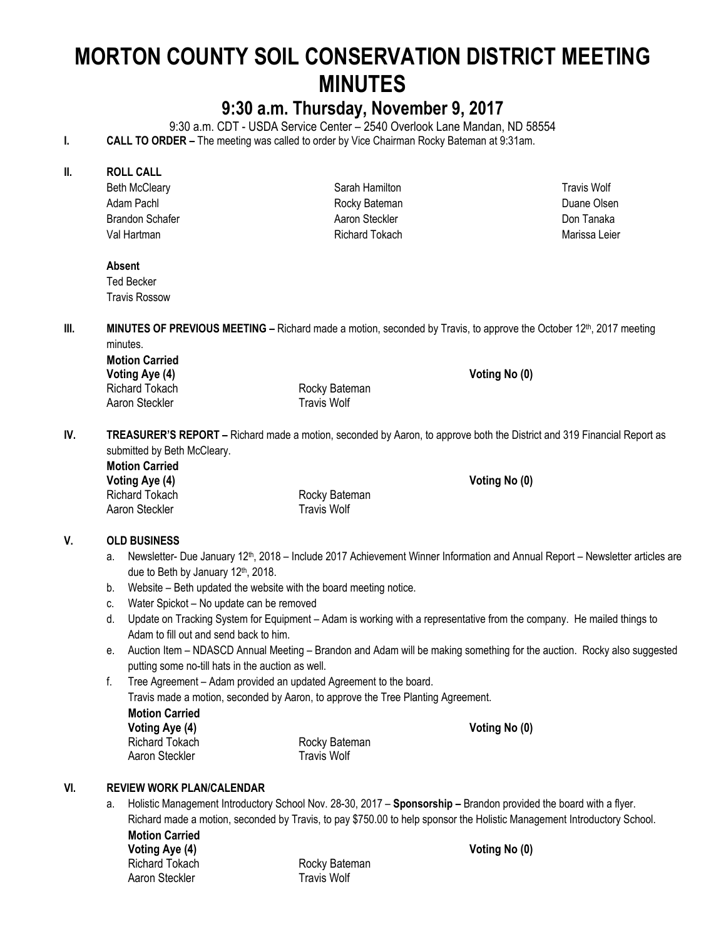# **MORTON COUNTY SOIL CONSERVATION DISTRICT MEETING MINUTES**

# **9:30 a.m. Thursday, November 9, 2017**

9:30 a.m. CDT - USDA Service Center – 2540 Overlook Lane Mandan, ND 58554

**I. CALL TO ORDER** – The meeting was called to order by Vice Chairman Rocky Bateman at 9:31am.

#### **II. ROLL CALL**

Beth McCleary Adam Pachl Brandon Schafer Val Hartman

Sarah Hamilton Rocky Bateman Aaron Steckler Richard Tokach

Travis Wolf Duane Olsen Don Tanaka Marissa Leier

#### **Absent**

Ted Becker Travis Rossow

**III. MINUTES OF PREVIOUS MEETING** – Richard made a motion, seconded by Travis, to approve the October 12<sup>th</sup>, 2017 meeting minutes.

**Motion Carried Voting Aye (4) Voting No (0)**  Aaron Steckler Travis Wolf

Richard Tokach **Richard Tokach** Rocky Bateman

**IV. TREASURER'S REPORT –** Richard made a motion, seconded by Aaron, to approve both the District and 319 Financial Report as submitted by Beth McCleary.

**Motion Carried**  Voting Aye (4) **Voting No (0) Voting No (0)** Richard Tokach **Richard Tokach Rocky Bateman** Aaron Steckler **Travis Wolf** 

# **V. OLD BUSINESS**

- a. Newsletter- Due January 12<sup>th</sup>, 2018 Include 2017 Achievement Winner Information and Annual Report Newsletter articles are due to Beth by January 12th, 2018.
- b. Website Beth updated the website with the board meeting notice.
- c. Water Spickot No update can be removed
- d. Update on Tracking System for Equipment Adam is working with a representative from the company. He mailed things to Adam to fill out and send back to him.
- e. Auction Item NDASCD Annual Meeting Brandon and Adam will be making something for the auction. Rocky also suggested putting some no-till hats in the auction as well.

f. Tree Agreement – Adam provided an updated Agreement to the board. Travis made a motion, seconded by Aaron, to approve the Tree Planting Agreement. **Motion Carried**  Voting Aye (4) **Voting Aye (4) Voting No (0) Voting No (0)** Richard Tokach Rocky Bateman Aaron Steckler Travis Wolf

#### **VI. REVIEW WORK PLAN/CALENDAR**

a. Holistic Management Introductory School Nov. 28-30, 2017 – **Sponsorship –** Brandon provided the board with a flyer. Richard made a motion, seconded by Travis, to pay \$750.00 to help sponsor the Holistic Management Introductory School.

**Motion Carried**  Voting Aye (4) **Voting Aye (4)** Voting No (0)

Richard Tokach Rocky Bateman Aaron Steckler Travis Wolf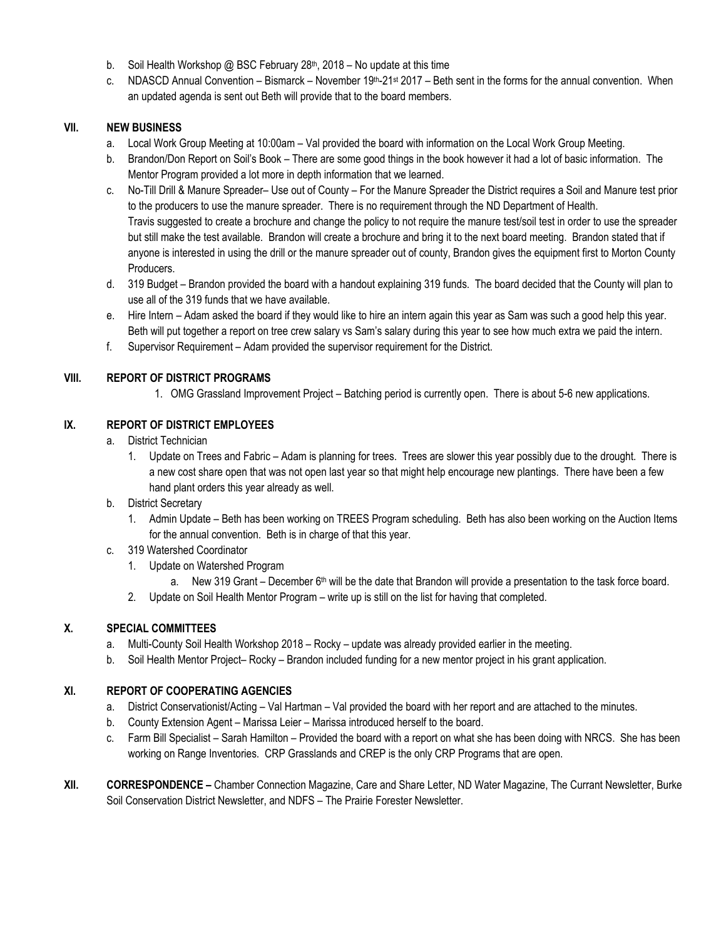- b. Soil Health Workshop @ BSC February  $28<sup>th</sup>$ , 2018 No update at this time
- c. NDASCD Annual Convention Bismarck November  $19<sup>th</sup>-21<sup>st</sup> 2017$  Beth sent in the forms for the annual convention. When an updated agenda is sent out Beth will provide that to the board members.

#### **VII. NEW BUSINESS**

- a. Local Work Group Meeting at 10:00am Val provided the board with information on the Local Work Group Meeting.
- b. Brandon/Don Report on Soil's Book There are some good things in the book however it had a lot of basic information. The Mentor Program provided a lot more in depth information that we learned.
- c. No-Till Drill & Manure Spreader– Use out of County For the Manure Spreader the District requires a Soil and Manure test prior to the producers to use the manure spreader. There is no requirement through the ND Department of Health. Travis suggested to create a brochure and change the policy to not require the manure test/soil test in order to use the spreader but still make the test available. Brandon will create a brochure and bring it to the next board meeting. Brandon stated that if anyone is interested in using the drill or the manure spreader out of county, Brandon gives the equipment first to Morton County Producers.
- d. 319 Budget Brandon provided the board with a handout explaining 319 funds. The board decided that the County will plan to use all of the 319 funds that we have available.
- e. Hire Intern Adam asked the board if they would like to hire an intern again this year as Sam was such a good help this year. Beth will put together a report on tree crew salary vs Sam's salary during this year to see how much extra we paid the intern.
- f. Supervisor Requirement Adam provided the supervisor requirement for the District.

#### **VIII. REPORT OF DISTRICT PROGRAMS**

1. OMG Grassland Improvement Project – Batching period is currently open. There is about 5-6 new applications.

#### **IX. REPORT OF DISTRICT EMPLOYEES**

- a. District Technician
	- 1. Update on Trees and Fabric Adam is planning for trees. Trees are slower this year possibly due to the drought. There is a new cost share open that was not open last year so that might help encourage new plantings. There have been a few hand plant orders this year already as well.
- b. District Secretary
	- 1. Admin Update Beth has been working on TREES Program scheduling. Beth has also been working on the Auction Items for the annual convention. Beth is in charge of that this year.
- c. 319 Watershed Coordinator
	- 1. Update on Watershed Program
		- a. New 319 Grant December 6<sup>th</sup> will be the date that Brandon will provide a presentation to the task force board.
	- 2. Update on Soil Health Mentor Program write up is still on the list for having that completed.

#### **X. SPECIAL COMMITTEES**

- a. Multi-County Soil Health Workshop 2018 Rocky update was already provided earlier in the meeting.
- b. Soil Health Mentor Project– Rocky Brandon included funding for a new mentor project in his grant application.

#### **XI. REPORT OF COOPERATING AGENCIES**

- a. District Conservationist/Acting Val Hartman Val provided the board with her report and are attached to the minutes.
- b. County Extension Agent Marissa Leier Marissa introduced herself to the board.
- c. Farm Bill Specialist Sarah Hamilton Provided the board with a report on what she has been doing with NRCS. She has been working on Range Inventories. CRP Grasslands and CREP is the only CRP Programs that are open.
- **XII. CORRESPONDENCE –** Chamber Connection Magazine, Care and Share Letter, ND Water Magazine, The Currant Newsletter, Burke Soil Conservation District Newsletter, and NDFS – The Prairie Forester Newsletter.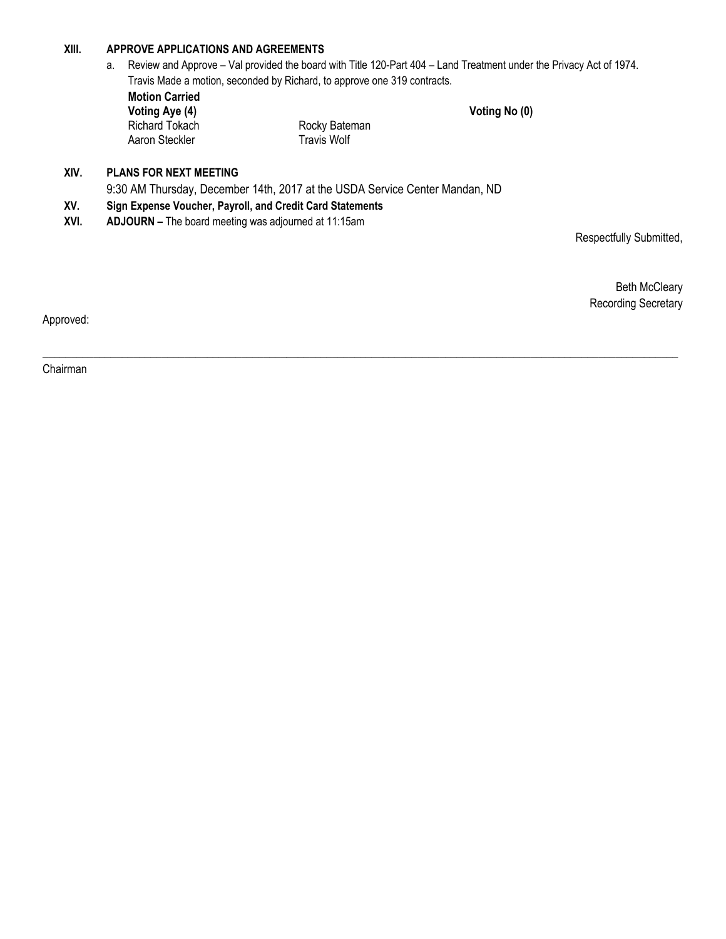### **XIII. APPROVE APPLICATIONS AND AGREEMENTS**

a. Review and Approve – Val provided the board with Title 120-Part 404 – Land Treatment under the Privacy Act of 1974. Travis Made a motion, seconded by Richard, to approve one 319 contracts.

**Motion Carried Voting Aye (4) Voting Aye (4) Voting No (0) Richard Tokach Voting No (0) Richard Tokach** Aaron Steckler

Rocky Bateman<br>Travis Wolf

## **XIV. PLANS FOR NEXT MEETING**

9:30 AM Thursday, December 14th, 2017 at the USDA Service Center Mandan, ND

- **XV. Sign Expense Voucher, Payroll, and Credit Card Statements**
- **XVI. ADJOURN –** The board meeting was adjourned at 11:15am

Respectfully Submitted,

Beth McCleary Recording Secretary

Approved:

\_\_\_\_\_\_\_\_\_\_\_\_\_\_\_\_\_\_\_\_\_\_\_\_\_\_\_\_\_\_\_\_\_\_\_\_\_\_\_\_\_\_\_\_\_\_\_\_\_\_\_\_\_\_\_\_\_\_\_\_\_\_\_\_\_\_\_\_\_\_\_\_\_\_\_\_\_\_\_\_\_\_\_\_\_\_\_\_\_\_\_\_\_\_\_\_\_\_\_\_\_\_\_\_\_\_\_\_\_\_\_\_

Chairman